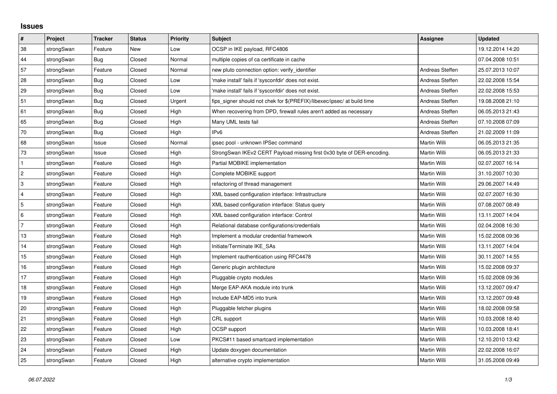## **Issues**

| $\pmb{\#}$     | Project    | <b>Tracker</b> | <b>Status</b> | <b>Priority</b> | <b>Subject</b>                                                          | <b>Assignee</b> | <b>Updated</b>   |
|----------------|------------|----------------|---------------|-----------------|-------------------------------------------------------------------------|-----------------|------------------|
| 38             | strongSwan | Feature        | <b>New</b>    | Low             | OCSP in IKE payload, RFC4806                                            |                 | 19.12.2014 14:20 |
| 44             | strongSwan | <b>Bug</b>     | Closed        | Normal          | multiple copies of ca certificate in cache                              |                 | 07.04.2008 10:51 |
| 57             | strongSwan | Feature        | Closed        | Normal          | new pluto connection option: verify_identifier                          | Andreas Steffen | 25.07.2013 10:07 |
| 28             | strongSwan | Bug            | Closed        | Low             | 'make install' fails if 'sysconfdir' does not exist.                    | Andreas Steffen | 22.02.2008 15:54 |
| 29             | strongSwan | Bug            | Closed        | Low             | 'make install' fails if 'sysconfdir' does not exist.                    | Andreas Steffen | 22.02.2008 15:53 |
| 51             | strongSwan | Bug            | Closed        | Urgent          | fips_signer should not chek for \$(PREFIX)/libexec/ipsec/ at build time | Andreas Steffen | 19.08.2008 21:10 |
| 61             | strongSwan | Bug            | Closed        | High            | When recovering from DPD, firewall rules aren't added as necessary      | Andreas Steffen | 06.05.2013 21:43 |
| 65             | strongSwan | Bug            | Closed        | High            | Many UML tests fail                                                     | Andreas Steffen | 07.10.2008 07:09 |
| 70             | strongSwan | Bug            | Closed        | High            | IP <sub>v6</sub>                                                        | Andreas Steffen | 21.02.2009 11:09 |
| 68             | strongSwan | Issue          | Closed        | Normal          | ipsec pool - unknown IPSec command                                      | Martin Willi    | 06.05.2013 21:35 |
| 73             | strongSwan | Issue          | Closed        | High            | StrongSwan IKEv2 CERT Payload missing first 0x30 byte of DER-encoding.  | Martin Willi    | 06.05.2013 21:33 |
| $\mathbf{1}$   | strongSwan | Feature        | Closed        | High            | Partial MOBIKE implementation                                           | Martin Willi    | 02.07.2007 16:14 |
| $\overline{2}$ | strongSwan | Feature        | Closed        | High            | Complete MOBIKE support                                                 | Martin Willi    | 31.10.2007 10:30 |
| 3              | strongSwan | Feature        | Closed        | High            | refactoring of thread management                                        | Martin Willi    | 29.06.2007 14:49 |
| $\overline{4}$ | strongSwan | Feature        | Closed        | High            | XML based configuration interface: Infrastructure                       | Martin Willi    | 02.07.2007 16:30 |
| 5              | strongSwan | Feature        | Closed        | High            | XML based configuration interface: Status query                         | Martin Willi    | 07.08.2007 08:49 |
| 6              | strongSwan | Feature        | Closed        | High            | XML based configuration interface: Control                              | Martin Willi    | 13.11.2007 14:04 |
| $\overline{7}$ | strongSwan | Feature        | Closed        | High            | Relational database configurations/credentials                          | Martin Willi    | 02.04.2008 16:30 |
| 13             | strongSwan | Feature        | Closed        | High            | Implement a modular credential framework                                | Martin Willi    | 15.02.2008 09:36 |
| 14             | strongSwan | Feature        | Closed        | High            | Initiate/Terminate IKE_SAs                                              | Martin Willi    | 13.11.2007 14:04 |
| 15             | strongSwan | Feature        | Closed        | High            | Implement rauthentication using RFC4478                                 | Martin Willi    | 30.11.2007 14:55 |
| 16             | strongSwan | Feature        | Closed        | High            | Generic plugin architecture                                             | Martin Willi    | 15.02.2008 09:37 |
| 17             | strongSwan | Feature        | Closed        | High            | Pluggable crypto modules                                                | Martin Willi    | 15.02.2008 09:36 |
| 18             | strongSwan | Feature        | Closed        | High            | Merge EAP-AKA module into trunk                                         | Martin Willi    | 13.12.2007 09:47 |
| 19             | strongSwan | Feature        | Closed        | High            | Include EAP-MD5 into trunk                                              | Martin Willi    | 13.12.2007 09:48 |
| 20             | strongSwan | Feature        | Closed        | High            | Pluggable fetcher plugins                                               | Martin Willi    | 18.02.2008 09:58 |
| 21             | strongSwan | Feature        | Closed        | High            | CRL support                                                             | Martin Willi    | 10.03.2008 18:40 |
| 22             | strongSwan | Feature        | Closed        | High            | OCSP support                                                            | Martin Willi    | 10.03.2008 18:41 |
| 23             | strongSwan | Feature        | Closed        | Low             | PKCS#11 based smartcard implementation                                  | Martin Willi    | 12.10.2010 13:42 |
| 24             | strongSwan | Feature        | Closed        | High            | Update doxygen documentation                                            | Martin Willi    | 22.02.2008 16:07 |
| 25             | strongSwan | Feature        | Closed        | High            | alternative crypto implementation                                       | Martin Willi    | 31.05.2008 09:49 |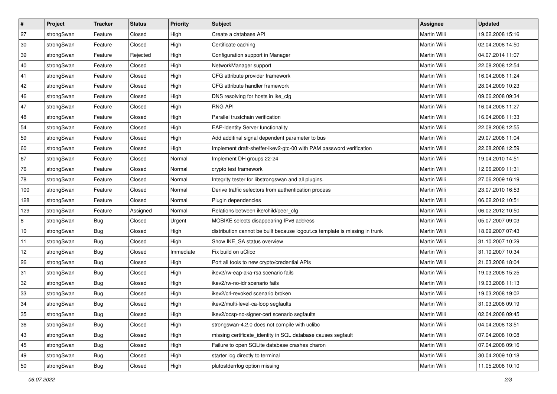| $\vert$ # | Project    | <b>Tracker</b> | <b>Status</b> | <b>Priority</b> | <b>Subject</b>                                                              | <b>Assignee</b>     | <b>Updated</b>   |
|-----------|------------|----------------|---------------|-----------------|-----------------------------------------------------------------------------|---------------------|------------------|
| 27        | strongSwan | Feature        | Closed        | High            | Create a database API                                                       | Martin Willi        | 19.02.2008 15:16 |
| 30        | strongSwan | Feature        | Closed        | High            | Certificate caching                                                         | <b>Martin Willi</b> | 02.04.2008 14:50 |
| 39        | strongSwan | Feature        | Rejected      | High            | Configuration support in Manager                                            | Martin Willi        | 04.07.2014 11:07 |
| 40        | strongSwan | Feature        | Closed        | High            | NetworkManager support                                                      | Martin Willi        | 22.08.2008 12:54 |
| 41        | strongSwan | Feature        | Closed        | High            | CFG attribute provider framework                                            | Martin Willi        | 16.04.2008 11:24 |
| 42        | strongSwan | Feature        | Closed        | High            | CFG attribute handler framework                                             | <b>Martin Willi</b> | 28.04.2009 10:23 |
| 46        | strongSwan | Feature        | Closed        | High            | DNS resolving for hosts in ike_cfg                                          | Martin Willi        | 09.06.2008 09:34 |
| 47        | strongSwan | Feature        | Closed        | High            | <b>RNG API</b>                                                              | Martin Willi        | 16.04.2008 11:27 |
| 48        | strongSwan | Feature        | Closed        | High            | Parallel trustchain verification                                            | Martin Willi        | 16.04.2008 11:33 |
| 54        | strongSwan | Feature        | Closed        | High            | <b>EAP-Identity Server functionality</b>                                    | Martin Willi        | 22.08.2008 12:55 |
| 59        | strongSwan | Feature        | Closed        | High            | Add additinal signal dependent parameter to bus                             | Martin Willi        | 29.07.2008 11:04 |
| 60        | strongSwan | Feature        | Closed        | High            | Implement draft-sheffer-ikev2-gtc-00 with PAM password verification         | Martin Willi        | 22.08.2008 12:59 |
| 67        | strongSwan | Feature        | Closed        | Normal          | Implement DH groups 22-24                                                   | Martin Willi        | 19.04.2010 14:51 |
| 76        | strongSwan | Feature        | Closed        | Normal          | crypto test framework                                                       | Martin Willi        | 12.06.2009 11:31 |
| 78        | strongSwan | Feature        | Closed        | Normal          | Integrity tester for libstrongswan and all plugins.                         | <b>Martin Willi</b> | 27.06.2009 16:19 |
| 100       | strongSwan | Feature        | Closed        | Normal          | Derive traffic selectors from authentication process                        | Martin Willi        | 23.07.2010 16:53 |
| 128       | strongSwan | Feature        | Closed        | Normal          | Plugin dependencies                                                         | <b>Martin Willi</b> | 06.02.2012 10:51 |
| 129       | strongSwan | Feature        | Assigned      | Normal          | Relations between ike/child/peer_cfg                                        | Martin Willi        | 06.02.2012 10:50 |
| 8         | strongSwan | <b>Bug</b>     | Closed        | Urgent          | MOBIKE selects disappearing IPv6 address                                    | Martin Willi        | 05.07.2007 09:03 |
| 10        | strongSwan | Bug            | Closed        | High            | distribution cannot be built because logout.cs template is missing in trunk | Martin Willi        | 18.09.2007 07:43 |
| 11        | strongSwan | <b>Bug</b>     | Closed        | High            | Show IKE_SA status overview                                                 | Martin Willi        | 31.10.2007 10:29 |
| 12        | strongSwan | <b>Bug</b>     | Closed        | Immediate       | Fix build on uClibc                                                         | Martin Willi        | 31.10.2007 10:34 |
| 26        | strongSwan | Bug            | Closed        | High            | Port all tools to new crypto/credential APIs                                | Martin Willi        | 21.03.2008 18:04 |
| 31        | strongSwan | <b>Bug</b>     | Closed        | High            | ikev2/rw-eap-aka-rsa scenario fails                                         | Martin Willi        | 19.03.2008 15:25 |
| 32        | strongSwan | <b>Bug</b>     | Closed        | High            | ikev2/rw-no-idr scenario fails                                              | Martin Willi        | 19.03.2008 11:13 |
| 33        | strongSwan | <b>Bug</b>     | Closed        | High            | ikev2/crl-revoked scenario broken                                           | Martin Willi        | 19.03.2008 19:02 |
| 34        | strongSwan | Bug            | Closed        | High            | ikev2/multi-level-ca-loop segfaults                                         | Martin Willi        | 31.03.2008 09:19 |
| 35        | strongSwan | Bug            | Closed        | High            | ikev2/ocsp-no-signer-cert scenario segfaults                                | Martin Willi        | 02.04.2008 09:45 |
| 36        | strongSwan | Bug            | Closed        | High            | strongswan-4.2.0 does not compile with uclibe                               | Martin Willi        | 04.04.2008 13:51 |
| 43        | strongSwan | Bug            | Closed        | High            | missing certificate identity in SQL database causes segfault                | Martin Willi        | 07.04.2008 10:08 |
| 45        | strongSwan | Bug            | Closed        | High            | Failure to open SQLite database crashes charon                              | Martin Willi        | 07.04.2008 09:16 |
| 49        | strongSwan | Bug            | Closed        | High            | starter log directly to terminal                                            | Martin Willi        | 30.04.2009 10:18 |
| 50        | strongSwan | <b>Bug</b>     | Closed        | High            | plutostderrlog option missing                                               | Martin Willi        | 11.05.2008 10:10 |